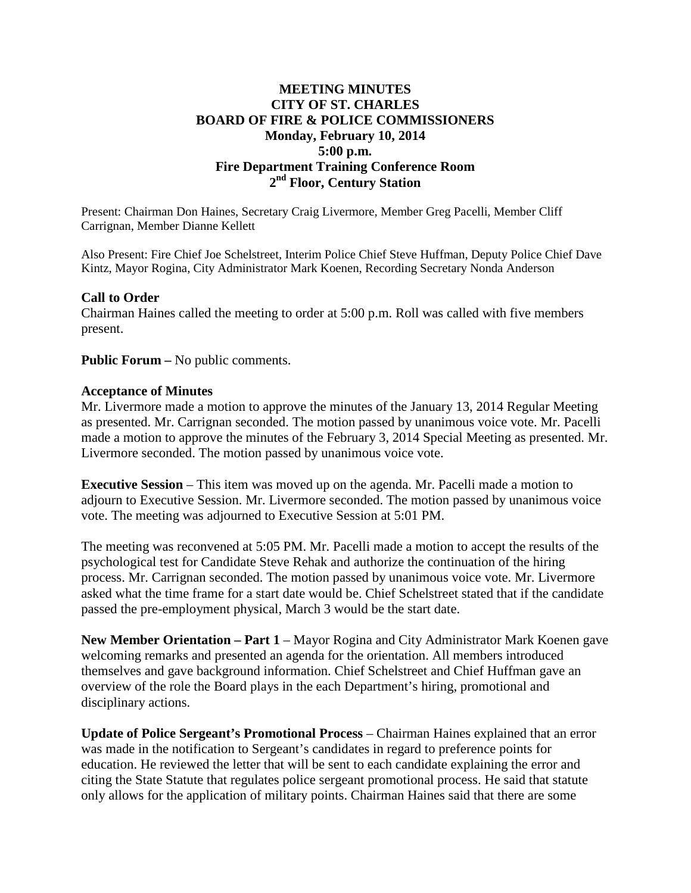# **MEETING MINUTES CITY OF ST. CHARLES BOARD OF FIRE & POLICE COMMISSIONERS Monday, February 10, 2014 5:00 p.m. Fire Department Training Conference Room 2nd Floor, Century Station**

Present: Chairman Don Haines, Secretary Craig Livermore, Member Greg Pacelli, Member Cliff Carrignan, Member Dianne Kellett

Also Present: Fire Chief Joe Schelstreet, Interim Police Chief Steve Huffman, Deputy Police Chief Dave Kintz, Mayor Rogina, City Administrator Mark Koenen, Recording Secretary Nonda Anderson

## **Call to Order**

Chairman Haines called the meeting to order at 5:00 p.m. Roll was called with five members present.

**Public Forum –** No public comments.

#### **Acceptance of Minutes**

Mr. Livermore made a motion to approve the minutes of the January 13, 2014 Regular Meeting as presented. Mr. Carrignan seconded. The motion passed by unanimous voice vote. Mr. Pacelli made a motion to approve the minutes of the February 3, 2014 Special Meeting as presented. Mr. Livermore seconded. The motion passed by unanimous voice vote.

**Executive Session** – This item was moved up on the agenda. Mr. Pacelli made a motion to adjourn to Executive Session. Mr. Livermore seconded. The motion passed by unanimous voice vote. The meeting was adjourned to Executive Session at 5:01 PM.

The meeting was reconvened at 5:05 PM. Mr. Pacelli made a motion to accept the results of the psychological test for Candidate Steve Rehak and authorize the continuation of the hiring process. Mr. Carrignan seconded. The motion passed by unanimous voice vote. Mr. Livermore asked what the time frame for a start date would be. Chief Schelstreet stated that if the candidate passed the pre-employment physical, March 3 would be the start date.

**New Member Orientation – Part 1** – Mayor Rogina and City Administrator Mark Koenen gave welcoming remarks and presented an agenda for the orientation. All members introduced themselves and gave background information. Chief Schelstreet and Chief Huffman gave an overview of the role the Board plays in the each Department's hiring, promotional and disciplinary actions.

**Update of Police Sergeant's Promotional Process** – Chairman Haines explained that an error was made in the notification to Sergeant's candidates in regard to preference points for education. He reviewed the letter that will be sent to each candidate explaining the error and citing the State Statute that regulates police sergeant promotional process. He said that statute only allows for the application of military points. Chairman Haines said that there are some